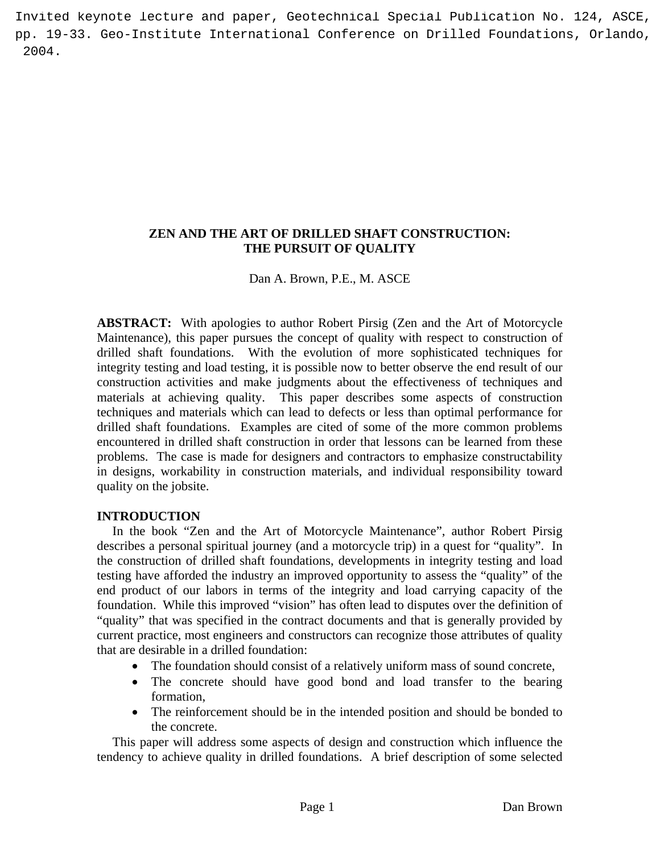Invited keynote lecture and paper, Geotechnical Special Publication No. 124, ASCE, pp. 19-33. Geo-Institute International Conference on Drilled Foundations, Orlando, 2004.

## **ZEN AND THE ART OF DRILLED SHAFT CONSTRUCTION: THE PURSUIT OF QUALITY**

## Dan A. Brown, P.E., M. ASCE

**ABSTRACT:** With apologies to author Robert Pirsig (Zen and the Art of Motorcycle Maintenance), this paper pursues the concept of quality with respect to construction of drilled shaft foundations. With the evolution of more sophisticated techniques for integrity testing and load testing, it is possible now to better observe the end result of our construction activities and make judgments about the effectiveness of techniques and materials at achieving quality. This paper describes some aspects of construction techniques and materials which can lead to defects or less than optimal performance for drilled shaft foundations. Examples are cited of some of the more common problems encountered in drilled shaft construction in order that lessons can be learned from these problems. The case is made for designers and contractors to emphasize constructability in designs, workability in construction materials, and individual responsibility toward quality on the jobsite.

### **INTRODUCTION**

In the book "Zen and the Art of Motorcycle Maintenance", author Robert Pirsig describes a personal spiritual journey (and a motorcycle trip) in a quest for "quality". In the construction of drilled shaft foundations, developments in integrity testing and load testing have afforded the industry an improved opportunity to assess the "quality" of the end product of our labors in terms of the integrity and load carrying capacity of the foundation. While this improved "vision" has often lead to disputes over the definition of "quality" that was specified in the contract documents and that is generally provided by current practice, most engineers and constructors can recognize those attributes of quality that are desirable in a drilled foundation:

- The foundation should consist of a relatively uniform mass of sound concrete,
- The concrete should have good bond and load transfer to the bearing formation,
- The reinforcement should be in the intended position and should be bonded to the concrete.

This paper will address some aspects of design and construction which influence the tendency to achieve quality in drilled foundations. A brief description of some selected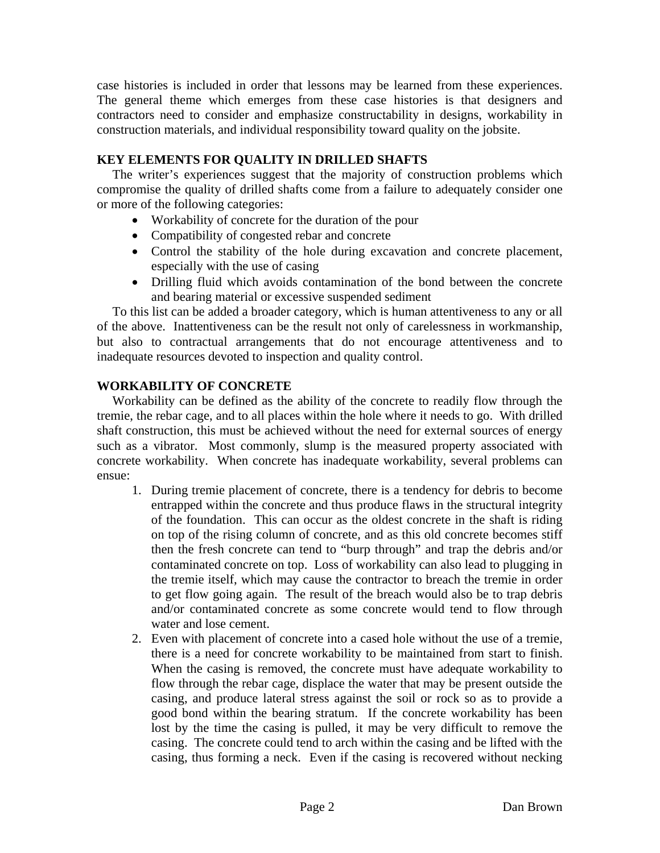case histories is included in order that lessons may be learned from these experiences. The general theme which emerges from these case histories is that designers and contractors need to consider and emphasize constructability in designs, workability in construction materials, and individual responsibility toward quality on the jobsite.

# **KEY ELEMENTS FOR QUALITY IN DRILLED SHAFTS**

The writer's experiences suggest that the majority of construction problems which compromise the quality of drilled shafts come from a failure to adequately consider one or more of the following categories:

- Workability of concrete for the duration of the pour
- Compatibility of congested rebar and concrete
- Control the stability of the hole during excavation and concrete placement, especially with the use of casing
- Drilling fluid which avoids contamination of the bond between the concrete and bearing material or excessive suspended sediment

To this list can be added a broader category, which is human attentiveness to any or all of the above. Inattentiveness can be the result not only of carelessness in workmanship, but also to contractual arrangements that do not encourage attentiveness and to inadequate resources devoted to inspection and quality control.

# **WORKABILITY OF CONCRETE**

Workability can be defined as the ability of the concrete to readily flow through the tremie, the rebar cage, and to all places within the hole where it needs to go. With drilled shaft construction, this must be achieved without the need for external sources of energy such as a vibrator. Most commonly, slump is the measured property associated with concrete workability. When concrete has inadequate workability, several problems can ensue:

- 1. During tremie placement of concrete, there is a tendency for debris to become entrapped within the concrete and thus produce flaws in the structural integrity of the foundation. This can occur as the oldest concrete in the shaft is riding on top of the rising column of concrete, and as this old concrete becomes stiff then the fresh concrete can tend to "burp through" and trap the debris and/or contaminated concrete on top. Loss of workability can also lead to plugging in the tremie itself, which may cause the contractor to breach the tremie in order to get flow going again. The result of the breach would also be to trap debris and/or contaminated concrete as some concrete would tend to flow through water and lose cement.
- 2. Even with placement of concrete into a cased hole without the use of a tremie, there is a need for concrete workability to be maintained from start to finish. When the casing is removed, the concrete must have adequate workability to flow through the rebar cage, displace the water that may be present outside the casing, and produce lateral stress against the soil or rock so as to provide a good bond within the bearing stratum. If the concrete workability has been lost by the time the casing is pulled, it may be very difficult to remove the casing. The concrete could tend to arch within the casing and be lifted with the casing, thus forming a neck. Even if the casing is recovered without necking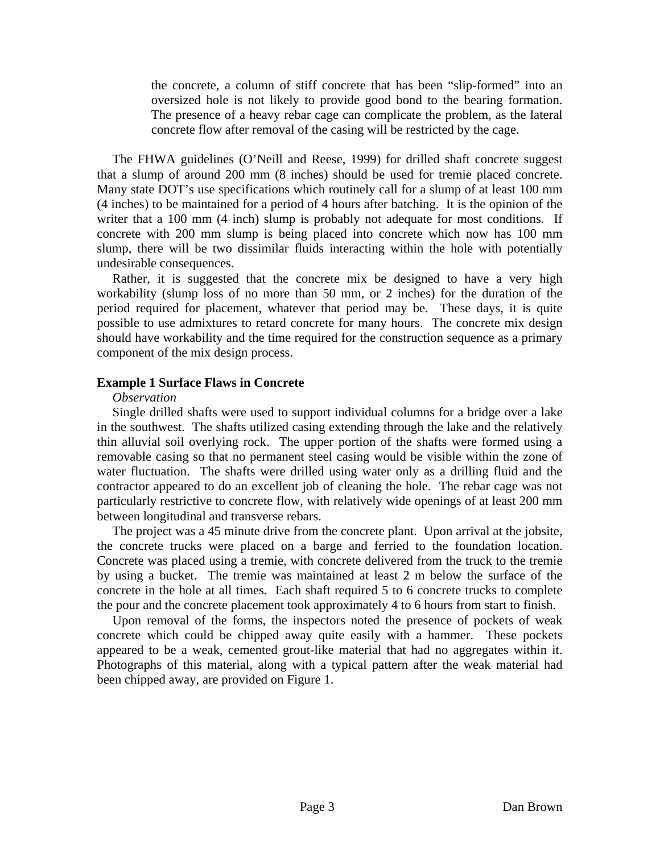the concrete, a column of stiff concrete that has been "slip-formed" into an oversized hole is not likely to provide good bond to the bearing formation. The presence of a heavy rebar cage can complicate the problem, as the lateral concrete flow after removal of the casing will be restricted by the cage.

The FHWA guidelines (O'Neill and Reese, 1999) for drilled shaft concrete suggest that a slump of around 200 mm (8 inches) should be used for tremie placed concrete. Many state DOT's use specifications which routinely call for a slump of at least 100 mm (4 inches) to be maintained for a period of 4 hours after batching. It is the opinion of the writer that a 100 mm (4 inch) slump is probably not adequate for most conditions. If concrete with 200 mm slump is being placed into concrete which now has 100 mm slump, there will be two dissimilar fluids interacting within the hole with potentially undesirable consequences.

Rather, it is suggested that the concrete mix be designed to have a very high workability (slump loss of no more than 50 mm, or 2 inches) for the duration of the period required for placement, whatever that period may be. These days, it is quite possible to use admixtures to retard concrete for many hours. The concrete mix design should have workability and the time required for the construction sequence as a primary component of the mix design process.

#### **Example 1 Surface Flaws in Concrete**

### *Observation*

Single drilled shafts were used to support individual columns for a bridge over a lake in the southwest. The shafts utilized casing extending through the lake and the relatively thin alluvial soil overlying rock. The upper portion of the shafts were formed using a removable casing so that no permanent steel casing would be visible within the zone of water fluctuation. The shafts were drilled using water only as a drilling fluid and the contractor appeared to do an excellent job of cleaning the hole. The rebar cage was not particularly restrictive to concrete flow, with relatively wide openings of at least 200 mm between longitudinal and transverse rebars.

The project was a 45 minute drive from the concrete plant. Upon arrival at the jobsite, the concrete trucks were placed on a barge and ferried to the foundation location. Concrete was placed using a tremie, with concrete delivered from the truck to the tremie by using a bucket. The tremie was maintained at least 2 m below the surface of the concrete in the hole at all times. Each shaft required 5 to 6 concrete trucks to complete the pour and the concrete placement took approximately 4 to 6 hours from start to finish.

Upon removal of the forms, the inspectors noted the presence of pockets of weak concrete which could be chipped away quite easily with a hammer. These pockets appeared to be a weak, cemented grout-like material that had no aggregates within it. Photographs of this material, along with a typical pattern after the weak material had been chipped away, are provided on Figure 1.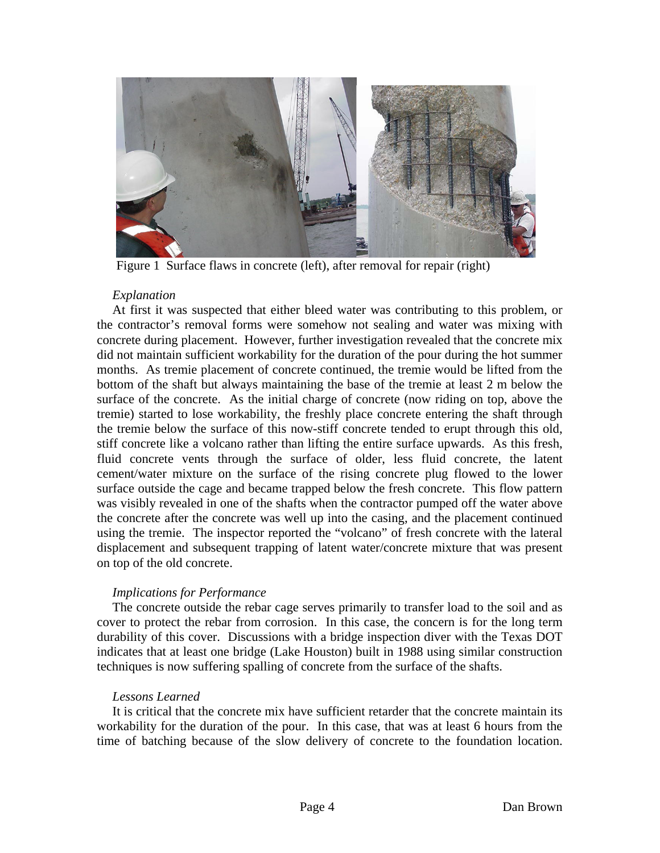

Figure 1 Surface flaws in concrete (left), after removal for repair (right)

## *Explanation*

At first it was suspected that either bleed water was contributing to this problem, or the contractor's removal forms were somehow not sealing and water was mixing with concrete during placement. However, further investigation revealed that the concrete mix did not maintain sufficient workability for the duration of the pour during the hot summer months. As tremie placement of concrete continued, the tremie would be lifted from the bottom of the shaft but always maintaining the base of the tremie at least 2 m below the surface of the concrete. As the initial charge of concrete (now riding on top, above the tremie) started to lose workability, the freshly place concrete entering the shaft through the tremie below the surface of this now-stiff concrete tended to erupt through this old, stiff concrete like a volcano rather than lifting the entire surface upwards. As this fresh, fluid concrete vents through the surface of older, less fluid concrete, the latent cement/water mixture on the surface of the rising concrete plug flowed to the lower surface outside the cage and became trapped below the fresh concrete. This flow pattern was visibly revealed in one of the shafts when the contractor pumped off the water above the concrete after the concrete was well up into the casing, and the placement continued using the tremie. The inspector reported the "volcano" of fresh concrete with the lateral displacement and subsequent trapping of latent water/concrete mixture that was present on top of the old concrete.

# *Implications for Performance*

The concrete outside the rebar cage serves primarily to transfer load to the soil and as cover to protect the rebar from corrosion. In this case, the concern is for the long term durability of this cover. Discussions with a bridge inspection diver with the Texas DOT indicates that at least one bridge (Lake Houston) built in 1988 using similar construction techniques is now suffering spalling of concrete from the surface of the shafts.

### *Lessons Learned*

It is critical that the concrete mix have sufficient retarder that the concrete maintain its workability for the duration of the pour. In this case, that was at least 6 hours from the time of batching because of the slow delivery of concrete to the foundation location.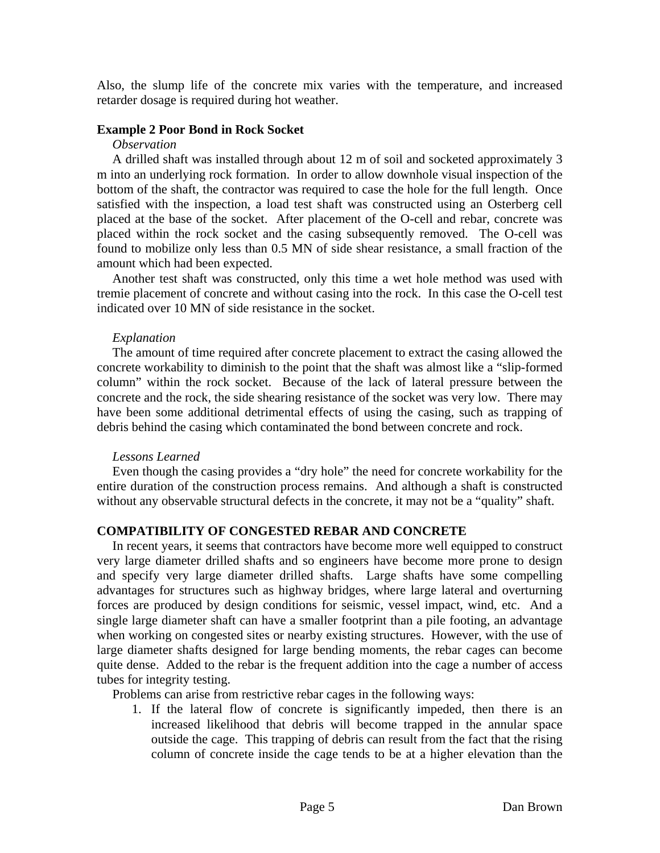Also, the slump life of the concrete mix varies with the temperature, and increased retarder dosage is required during hot weather.

#### **Example 2 Poor Bond in Rock Socket**

### *Observation*

A drilled shaft was installed through about 12 m of soil and socketed approximately 3 m into an underlying rock formation. In order to allow downhole visual inspection of the bottom of the shaft, the contractor was required to case the hole for the full length. Once satisfied with the inspection, a load test shaft was constructed using an Osterberg cell placed at the base of the socket. After placement of the O-cell and rebar, concrete was placed within the rock socket and the casing subsequently removed. The O-cell was found to mobilize only less than 0.5 MN of side shear resistance, a small fraction of the amount which had been expected.

Another test shaft was constructed, only this time a wet hole method was used with tremie placement of concrete and without casing into the rock. In this case the O-cell test indicated over 10 MN of side resistance in the socket.

#### *Explanation*

The amount of time required after concrete placement to extract the casing allowed the concrete workability to diminish to the point that the shaft was almost like a "slip-formed column" within the rock socket. Because of the lack of lateral pressure between the concrete and the rock, the side shearing resistance of the socket was very low. There may have been some additional detrimental effects of using the casing, such as trapping of debris behind the casing which contaminated the bond between concrete and rock.

### *Lessons Learned*

Even though the casing provides a "dry hole" the need for concrete workability for the entire duration of the construction process remains. And although a shaft is constructed without any observable structural defects in the concrete, it may not be a "quality" shaft.

### **COMPATIBILITY OF CONGESTED REBAR AND CONCRETE**

In recent years, it seems that contractors have become more well equipped to construct very large diameter drilled shafts and so engineers have become more prone to design and specify very large diameter drilled shafts. Large shafts have some compelling advantages for structures such as highway bridges, where large lateral and overturning forces are produced by design conditions for seismic, vessel impact, wind, etc. And a single large diameter shaft can have a smaller footprint than a pile footing, an advantage when working on congested sites or nearby existing structures. However, with the use of large diameter shafts designed for large bending moments, the rebar cages can become quite dense. Added to the rebar is the frequent addition into the cage a number of access tubes for integrity testing.

Problems can arise from restrictive rebar cages in the following ways:

1. If the lateral flow of concrete is significantly impeded, then there is an increased likelihood that debris will become trapped in the annular space outside the cage. This trapping of debris can result from the fact that the rising column of concrete inside the cage tends to be at a higher elevation than the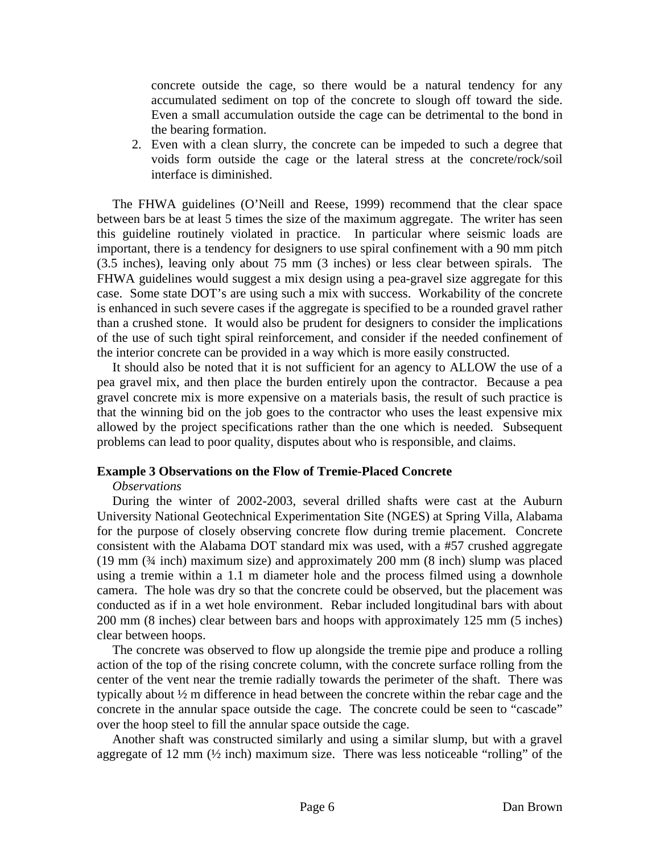concrete outside the cage, so there would be a natural tendency for any accumulated sediment on top of the concrete to slough off toward the side. Even a small accumulation outside the cage can be detrimental to the bond in the bearing formation.

2. Even with a clean slurry, the concrete can be impeded to such a degree that voids form outside the cage or the lateral stress at the concrete/rock/soil interface is diminished.

The FHWA guidelines (O'Neill and Reese, 1999) recommend that the clear space between bars be at least 5 times the size of the maximum aggregate. The writer has seen this guideline routinely violated in practice. In particular where seismic loads are important, there is a tendency for designers to use spiral confinement with a 90 mm pitch (3.5 inches), leaving only about 75 mm (3 inches) or less clear between spirals. The FHWA guidelines would suggest a mix design using a pea-gravel size aggregate for this case. Some state DOT's are using such a mix with success. Workability of the concrete is enhanced in such severe cases if the aggregate is specified to be a rounded gravel rather than a crushed stone. It would also be prudent for designers to consider the implications of the use of such tight spiral reinforcement, and consider if the needed confinement of the interior concrete can be provided in a way which is more easily constructed.

It should also be noted that it is not sufficient for an agency to ALLOW the use of a pea gravel mix, and then place the burden entirely upon the contractor. Because a pea gravel concrete mix is more expensive on a materials basis, the result of such practice is that the winning bid on the job goes to the contractor who uses the least expensive mix allowed by the project specifications rather than the one which is needed. Subsequent problems can lead to poor quality, disputes about who is responsible, and claims.

#### **Example 3 Observations on the Flow of Tremie-Placed Concrete**

#### *Observations*

During the winter of 2002-2003, several drilled shafts were cast at the Auburn University National Geotechnical Experimentation Site (NGES) at Spring Villa, Alabama for the purpose of closely observing concrete flow during tremie placement. Concrete consistent with the Alabama DOT standard mix was used, with a #57 crushed aggregate (19 mm (¾ inch) maximum size) and approximately 200 mm (8 inch) slump was placed using a tremie within a 1.1 m diameter hole and the process filmed using a downhole camera. The hole was dry so that the concrete could be observed, but the placement was conducted as if in a wet hole environment. Rebar included longitudinal bars with about 200 mm (8 inches) clear between bars and hoops with approximately 125 mm (5 inches) clear between hoops.

The concrete was observed to flow up alongside the tremie pipe and produce a rolling action of the top of the rising concrete column, with the concrete surface rolling from the center of the vent near the tremie radially towards the perimeter of the shaft. There was typically about ½ m difference in head between the concrete within the rebar cage and the concrete in the annular space outside the cage. The concrete could be seen to "cascade" over the hoop steel to fill the annular space outside the cage.

Another shaft was constructed similarly and using a similar slump, but with a gravel aggregate of 12 mm  $(\frac{1}{2}$  inch) maximum size. There was less noticeable "rolling" of the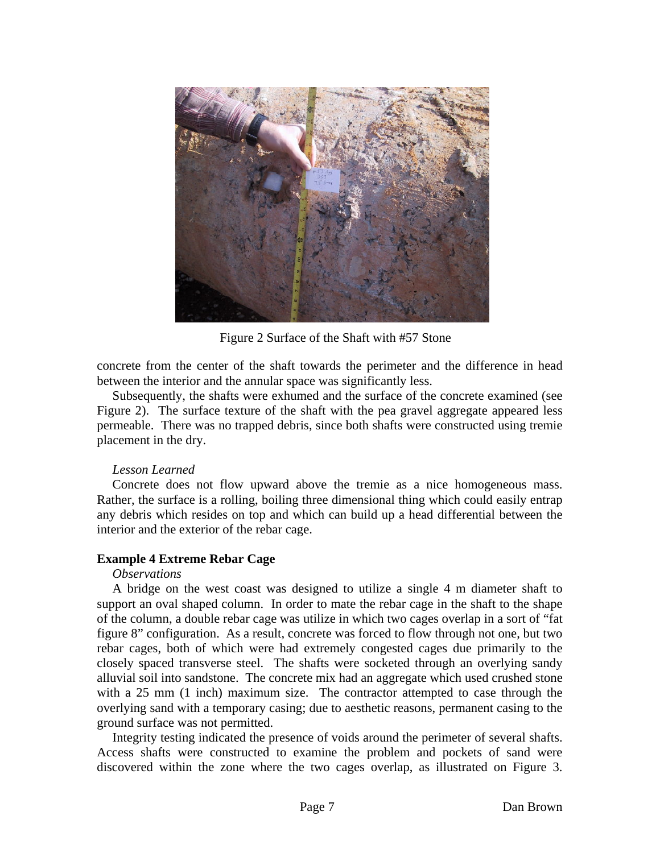

Figure 2 Surface of the Shaft with #57 Stone

concrete from the center of the shaft towards the perimeter and the difference in head between the interior and the annular space was significantly less.

Subsequently, the shafts were exhumed and the surface of the concrete examined (see Figure 2). The surface texture of the shaft with the pea gravel aggregate appeared less permeable. There was no trapped debris, since both shafts were constructed using tremie placement in the dry.

### *Lesson Learned*

Concrete does not flow upward above the tremie as a nice homogeneous mass. Rather, the surface is a rolling, boiling three dimensional thing which could easily entrap any debris which resides on top and which can build up a head differential between the interior and the exterior of the rebar cage.

# **Example 4 Extreme Rebar Cage**

### *Observations*

A bridge on the west coast was designed to utilize a single 4 m diameter shaft to support an oval shaped column. In order to mate the rebar cage in the shaft to the shape of the column, a double rebar cage was utilize in which two cages overlap in a sort of "fat figure 8" configuration. As a result, concrete was forced to flow through not one, but two rebar cages, both of which were had extremely congested cages due primarily to the closely spaced transverse steel. The shafts were socketed through an overlying sandy alluvial soil into sandstone. The concrete mix had an aggregate which used crushed stone with a 25 mm (1 inch) maximum size. The contractor attempted to case through the overlying sand with a temporary casing; due to aesthetic reasons, permanent casing to the ground surface was not permitted.

Integrity testing indicated the presence of voids around the perimeter of several shafts. Access shafts were constructed to examine the problem and pockets of sand were discovered within the zone where the two cages overlap, as illustrated on Figure 3.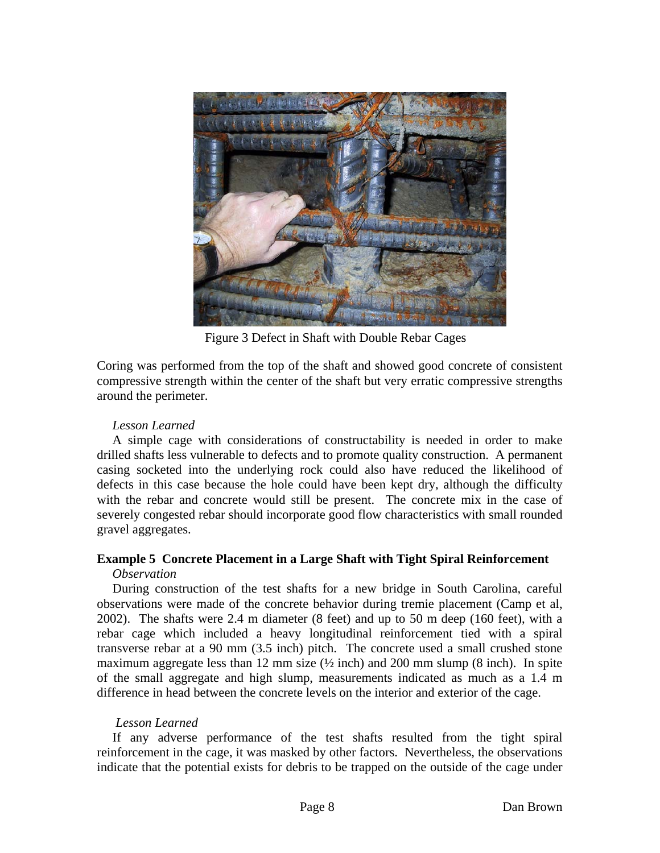

Figure 3 Defect in Shaft with Double Rebar Cages

Coring was performed from the top of the shaft and showed good concrete of consistent compressive strength within the center of the shaft but very erratic compressive strengths around the perimeter.

## *Lesson Learned*

A simple cage with considerations of constructability is needed in order to make drilled shafts less vulnerable to defects and to promote quality construction. A permanent casing socketed into the underlying rock could also have reduced the likelihood of defects in this case because the hole could have been kept dry, although the difficulty with the rebar and concrete would still be present. The concrete mix in the case of severely congested rebar should incorporate good flow characteristics with small rounded gravel aggregates.

# **Example 5 Concrete Placement in a Large Shaft with Tight Spiral Reinforcement**  *Observation*

During construction of the test shafts for a new bridge in South Carolina, careful observations were made of the concrete behavior during tremie placement (Camp et al, 2002). The shafts were 2.4 m diameter (8 feet) and up to 50 m deep (160 feet), with a rebar cage which included a heavy longitudinal reinforcement tied with a spiral transverse rebar at a 90 mm (3.5 inch) pitch. The concrete used a small crushed stone maximum aggregate less than 12 mm size  $(\frac{1}{2}$  inch) and 200 mm slump (8 inch). In spite of the small aggregate and high slump, measurements indicated as much as a 1.4 m difference in head between the concrete levels on the interior and exterior of the cage.

# *Lesson Learned*

If any adverse performance of the test shafts resulted from the tight spiral reinforcement in the cage, it was masked by other factors. Nevertheless, the observations indicate that the potential exists for debris to be trapped on the outside of the cage under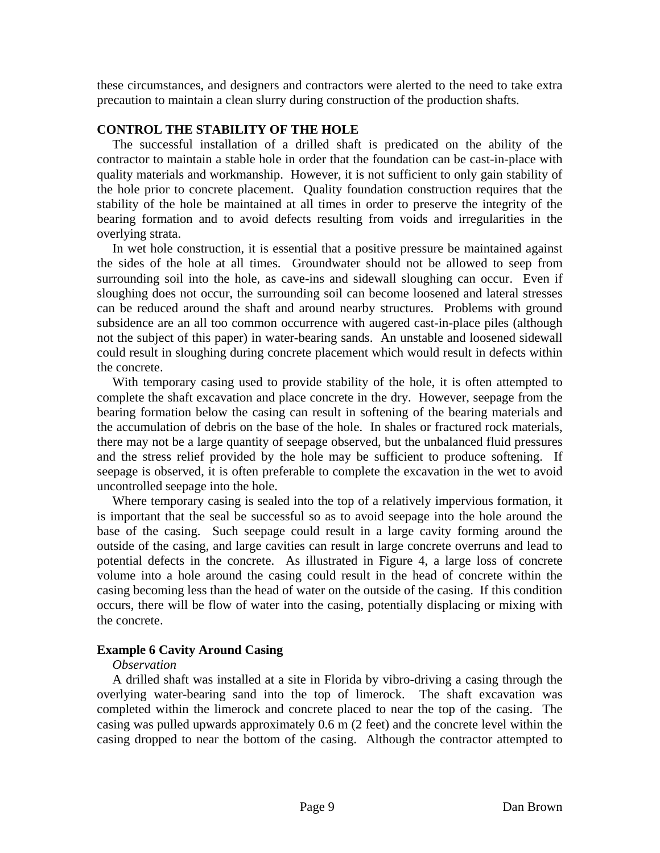these circumstances, and designers and contractors were alerted to the need to take extra precaution to maintain a clean slurry during construction of the production shafts.

## **CONTROL THE STABILITY OF THE HOLE**

The successful installation of a drilled shaft is predicated on the ability of the contractor to maintain a stable hole in order that the foundation can be cast-in-place with quality materials and workmanship. However, it is not sufficient to only gain stability of the hole prior to concrete placement. Quality foundation construction requires that the stability of the hole be maintained at all times in order to preserve the integrity of the bearing formation and to avoid defects resulting from voids and irregularities in the overlying strata.

In wet hole construction, it is essential that a positive pressure be maintained against the sides of the hole at all times. Groundwater should not be allowed to seep from surrounding soil into the hole, as cave-ins and sidewall sloughing can occur. Even if sloughing does not occur, the surrounding soil can become loosened and lateral stresses can be reduced around the shaft and around nearby structures. Problems with ground subsidence are an all too common occurrence with augered cast-in-place piles (although not the subject of this paper) in water-bearing sands. An unstable and loosened sidewall could result in sloughing during concrete placement which would result in defects within the concrete.

With temporary casing used to provide stability of the hole, it is often attempted to complete the shaft excavation and place concrete in the dry. However, seepage from the bearing formation below the casing can result in softening of the bearing materials and the accumulation of debris on the base of the hole. In shales or fractured rock materials, there may not be a large quantity of seepage observed, but the unbalanced fluid pressures and the stress relief provided by the hole may be sufficient to produce softening. If seepage is observed, it is often preferable to complete the excavation in the wet to avoid uncontrolled seepage into the hole.

Where temporary casing is sealed into the top of a relatively impervious formation, it is important that the seal be successful so as to avoid seepage into the hole around the base of the casing. Such seepage could result in a large cavity forming around the outside of the casing, and large cavities can result in large concrete overruns and lead to potential defects in the concrete. As illustrated in Figure 4, a large loss of concrete volume into a hole around the casing could result in the head of concrete within the casing becoming less than the head of water on the outside of the casing. If this condition occurs, there will be flow of water into the casing, potentially displacing or mixing with the concrete.

# **Example 6 Cavity Around Casing**

### *Observation*

A drilled shaft was installed at a site in Florida by vibro-driving a casing through the overlying water-bearing sand into the top of limerock. The shaft excavation was completed within the limerock and concrete placed to near the top of the casing. The casing was pulled upwards approximately 0.6 m (2 feet) and the concrete level within the casing dropped to near the bottom of the casing. Although the contractor attempted to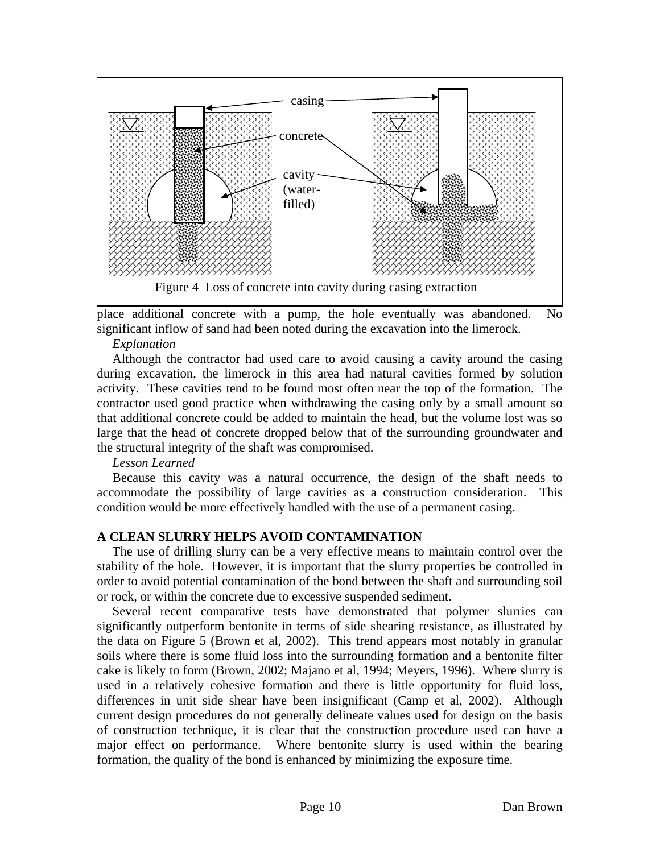

place additional concrete with a pump, the hole eventually was abandoned. No significant inflow of sand had been noted during the excavation into the limerock.

## *Explanation*

Although the contractor had used care to avoid causing a cavity around the casing during excavation, the limerock in this area had natural cavities formed by solution activity. These cavities tend to be found most often near the top of the formation. The contractor used good practice when withdrawing the casing only by a small amount so that additional concrete could be added to maintain the head, but the volume lost was so large that the head of concrete dropped below that of the surrounding groundwater and the structural integrity of the shaft was compromised.

## *Lesson Learned*

Because this cavity was a natural occurrence, the design of the shaft needs to accommodate the possibility of large cavities as a construction consideration. This condition would be more effectively handled with the use of a permanent casing.

# **A CLEAN SLURRY HELPS AVOID CONTAMINATION**

The use of drilling slurry can be a very effective means to maintain control over the stability of the hole. However, it is important that the slurry properties be controlled in order to avoid potential contamination of the bond between the shaft and surrounding soil or rock, or within the concrete due to excessive suspended sediment.

Several recent comparative tests have demonstrated that polymer slurries can significantly outperform bentonite in terms of side shearing resistance, as illustrated by the data on Figure 5 (Brown et al, 2002). This trend appears most notably in granular soils where there is some fluid loss into the surrounding formation and a bentonite filter cake is likely to form (Brown, 2002; Majano et al, 1994; Meyers, 1996). Where slurry is used in a relatively cohesive formation and there is little opportunity for fluid loss, differences in unit side shear have been insignificant (Camp et al, 2002). Although current design procedures do not generally delineate values used for design on the basis of construction technique, it is clear that the construction procedure used can have a major effect on performance. Where bentonite slurry is used within the bearing formation, the quality of the bond is enhanced by minimizing the exposure time.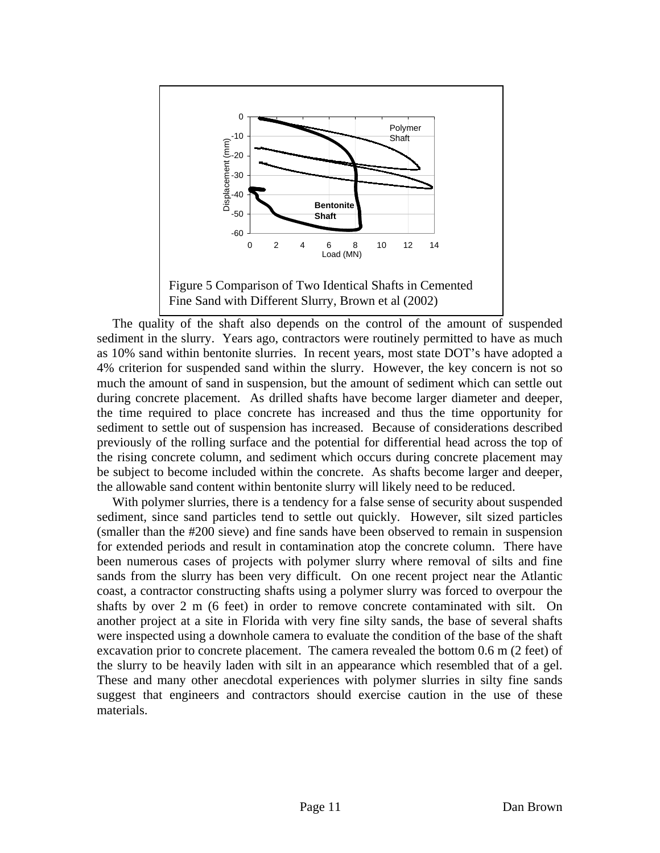

The quality of the shaft also depends on the control of the amount of suspended sediment in the slurry. Years ago, contractors were routinely permitted to have as much as 10% sand within bentonite slurries. In recent years, most state DOT's have adopted a 4% criterion for suspended sand within the slurry. However, the key concern is not so much the amount of sand in suspension, but the amount of sediment which can settle out during concrete placement. As drilled shafts have become larger diameter and deeper, the time required to place concrete has increased and thus the time opportunity for sediment to settle out of suspension has increased. Because of considerations described previously of the rolling surface and the potential for differential head across the top of the rising concrete column, and sediment which occurs during concrete placement may be subject to become included within the concrete. As shafts become larger and deeper, the allowable sand content within bentonite slurry will likely need to be reduced.

With polymer slurries, there is a tendency for a false sense of security about suspended sediment, since sand particles tend to settle out quickly. However, silt sized particles (smaller than the #200 sieve) and fine sands have been observed to remain in suspension for extended periods and result in contamination atop the concrete column. There have been numerous cases of projects with polymer slurry where removal of silts and fine sands from the slurry has been very difficult. On one recent project near the Atlantic coast, a contractor constructing shafts using a polymer slurry was forced to overpour the shafts by over 2 m (6 feet) in order to remove concrete contaminated with silt. On another project at a site in Florida with very fine silty sands, the base of several shafts were inspected using a downhole camera to evaluate the condition of the base of the shaft excavation prior to concrete placement. The camera revealed the bottom 0.6 m (2 feet) of the slurry to be heavily laden with silt in an appearance which resembled that of a gel. These and many other anecdotal experiences with polymer slurries in silty fine sands suggest that engineers and contractors should exercise caution in the use of these materials.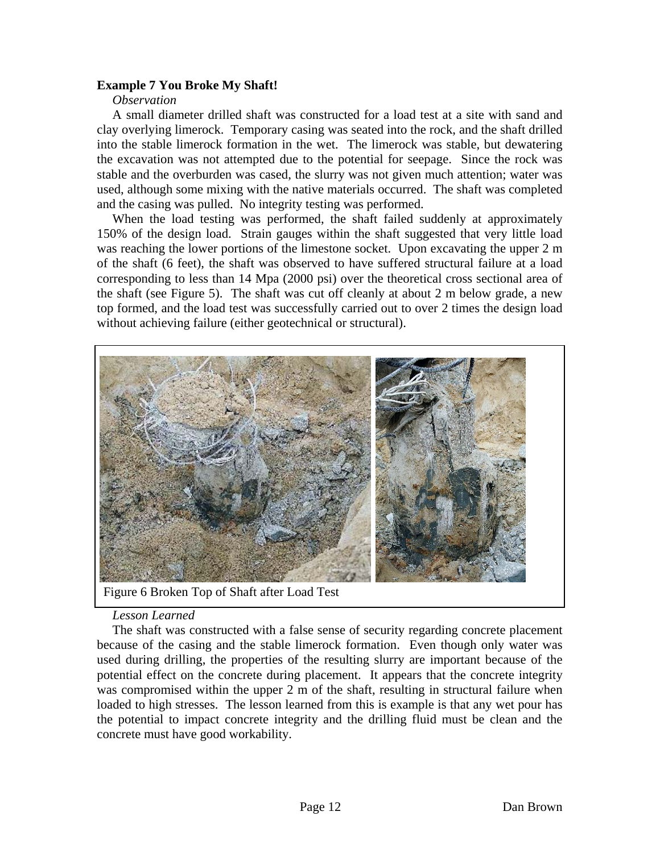### **Example 7 You Broke My Shaft!**

#### *Observation*

A small diameter drilled shaft was constructed for a load test at a site with sand and clay overlying limerock. Temporary casing was seated into the rock, and the shaft drilled into the stable limerock formation in the wet. The limerock was stable, but dewatering the excavation was not attempted due to the potential for seepage. Since the rock was stable and the overburden was cased, the slurry was not given much attention; water was used, although some mixing with the native materials occurred. The shaft was completed and the casing was pulled. No integrity testing was performed.

When the load testing was performed, the shaft failed suddenly at approximately 150% of the design load. Strain gauges within the shaft suggested that very little load was reaching the lower portions of the limestone socket. Upon excavating the upper 2 m of the shaft (6 feet), the shaft was observed to have suffered structural failure at a load corresponding to less than 14 Mpa (2000 psi) over the theoretical cross sectional area of the shaft (see Figure 5). The shaft was cut off cleanly at about 2 m below grade, a new top formed, and the load test was successfully carried out to over 2 times the design load without achieving failure (either geotechnical or structural).



Figure 6 Broken Top of Shaft after Load Test

### *Lesson Learned*

The shaft was constructed with a false sense of security regarding concrete placement because of the casing and the stable limerock formation. Even though only water was used during drilling, the properties of the resulting slurry are important because of the potential effect on the concrete during placement. It appears that the concrete integrity was compromised within the upper 2 m of the shaft, resulting in structural failure when loaded to high stresses. The lesson learned from this is example is that any wet pour has the potential to impact concrete integrity and the drilling fluid must be clean and the concrete must have good workability.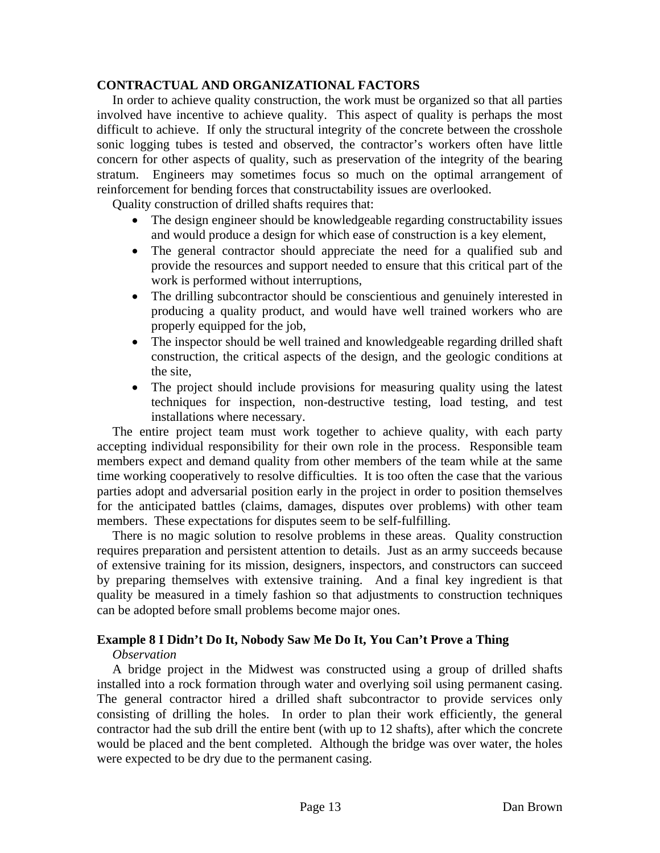### **CONTRACTUAL AND ORGANIZATIONAL FACTORS**

In order to achieve quality construction, the work must be organized so that all parties involved have incentive to achieve quality. This aspect of quality is perhaps the most difficult to achieve. If only the structural integrity of the concrete between the crosshole sonic logging tubes is tested and observed, the contractor's workers often have little concern for other aspects of quality, such as preservation of the integrity of the bearing stratum. Engineers may sometimes focus so much on the optimal arrangement of reinforcement for bending forces that constructability issues are overlooked.

Quality construction of drilled shafts requires that:

- The design engineer should be knowledgeable regarding constructability issues and would produce a design for which ease of construction is a key element,
- The general contractor should appreciate the need for a qualified sub and provide the resources and support needed to ensure that this critical part of the work is performed without interruptions,
- The drilling subcontractor should be conscientious and genuinely interested in producing a quality product, and would have well trained workers who are properly equipped for the job,
- The inspector should be well trained and knowledgeable regarding drilled shaft construction, the critical aspects of the design, and the geologic conditions at the site,
- The project should include provisions for measuring quality using the latest techniques for inspection, non-destructive testing, load testing, and test installations where necessary.

The entire project team must work together to achieve quality, with each party accepting individual responsibility for their own role in the process. Responsible team members expect and demand quality from other members of the team while at the same time working cooperatively to resolve difficulties. It is too often the case that the various parties adopt and adversarial position early in the project in order to position themselves for the anticipated battles (claims, damages, disputes over problems) with other team members. These expectations for disputes seem to be self-fulfilling.

There is no magic solution to resolve problems in these areas. Quality construction requires preparation and persistent attention to details. Just as an army succeeds because of extensive training for its mission, designers, inspectors, and constructors can succeed by preparing themselves with extensive training. And a final key ingredient is that quality be measured in a timely fashion so that adjustments to construction techniques can be adopted before small problems become major ones.

# **Example 8 I Didn't Do It, Nobody Saw Me Do It, You Can't Prove a Thing**

### *Observation*

A bridge project in the Midwest was constructed using a group of drilled shafts installed into a rock formation through water and overlying soil using permanent casing. The general contractor hired a drilled shaft subcontractor to provide services only consisting of drilling the holes. In order to plan their work efficiently, the general contractor had the sub drill the entire bent (with up to 12 shafts), after which the concrete would be placed and the bent completed. Although the bridge was over water, the holes were expected to be dry due to the permanent casing.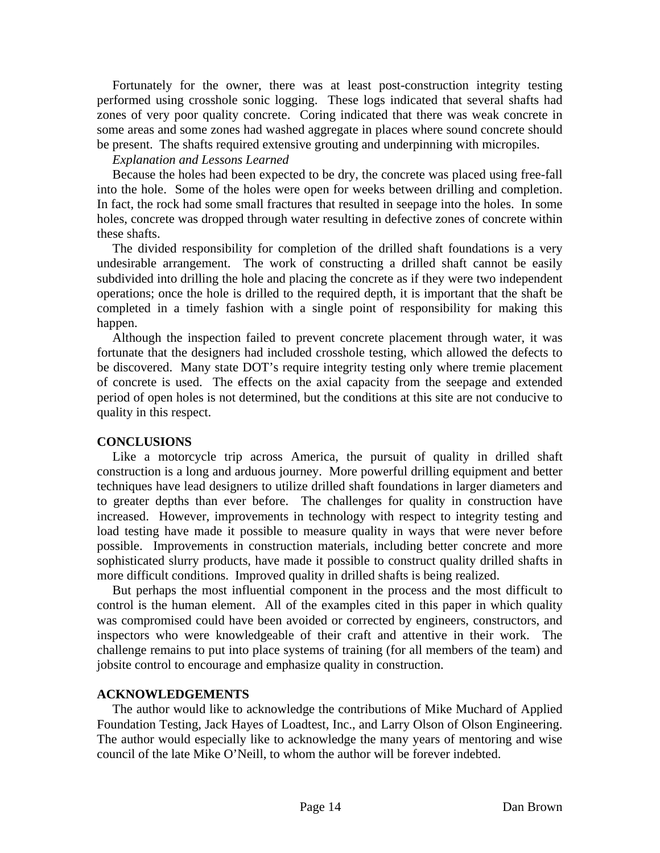Fortunately for the owner, there was at least post-construction integrity testing performed using crosshole sonic logging. These logs indicated that several shafts had zones of very poor quality concrete. Coring indicated that there was weak concrete in some areas and some zones had washed aggregate in places where sound concrete should be present. The shafts required extensive grouting and underpinning with micropiles.

#### *Explanation and Lessons Learned*

Because the holes had been expected to be dry, the concrete was placed using free-fall into the hole. Some of the holes were open for weeks between drilling and completion. In fact, the rock had some small fractures that resulted in seepage into the holes. In some holes, concrete was dropped through water resulting in defective zones of concrete within these shafts.

The divided responsibility for completion of the drilled shaft foundations is a very undesirable arrangement. The work of constructing a drilled shaft cannot be easily subdivided into drilling the hole and placing the concrete as if they were two independent operations; once the hole is drilled to the required depth, it is important that the shaft be completed in a timely fashion with a single point of responsibility for making this happen.

Although the inspection failed to prevent concrete placement through water, it was fortunate that the designers had included crosshole testing, which allowed the defects to be discovered. Many state DOT's require integrity testing only where tremie placement of concrete is used. The effects on the axial capacity from the seepage and extended period of open holes is not determined, but the conditions at this site are not conducive to quality in this respect.

### **CONCLUSIONS**

Like a motorcycle trip across America, the pursuit of quality in drilled shaft construction is a long and arduous journey. More powerful drilling equipment and better techniques have lead designers to utilize drilled shaft foundations in larger diameters and to greater depths than ever before. The challenges for quality in construction have increased. However, improvements in technology with respect to integrity testing and load testing have made it possible to measure quality in ways that were never before possible. Improvements in construction materials, including better concrete and more sophisticated slurry products, have made it possible to construct quality drilled shafts in more difficult conditions. Improved quality in drilled shafts is being realized.

But perhaps the most influential component in the process and the most difficult to control is the human element. All of the examples cited in this paper in which quality was compromised could have been avoided or corrected by engineers, constructors, and inspectors who were knowledgeable of their craft and attentive in their work. The challenge remains to put into place systems of training (for all members of the team) and jobsite control to encourage and emphasize quality in construction.

### **ACKNOWLEDGEMENTS**

The author would like to acknowledge the contributions of Mike Muchard of Applied Foundation Testing, Jack Hayes of Loadtest, Inc., and Larry Olson of Olson Engineering. The author would especially like to acknowledge the many years of mentoring and wise council of the late Mike O'Neill, to whom the author will be forever indebted.